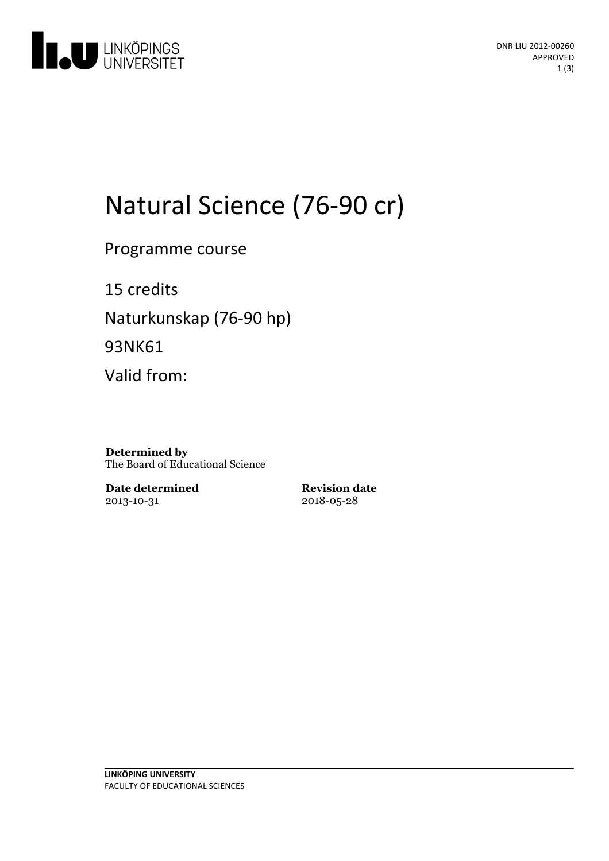

# Natural Science (76-90 cr)

Programme course

15 credits Naturkunskap (76-90 hp) 93NK61

Valid from:

**Determined by** The Board of Educational Science

**Date determined** 2013-10-31

**Revision date** 2018-05-28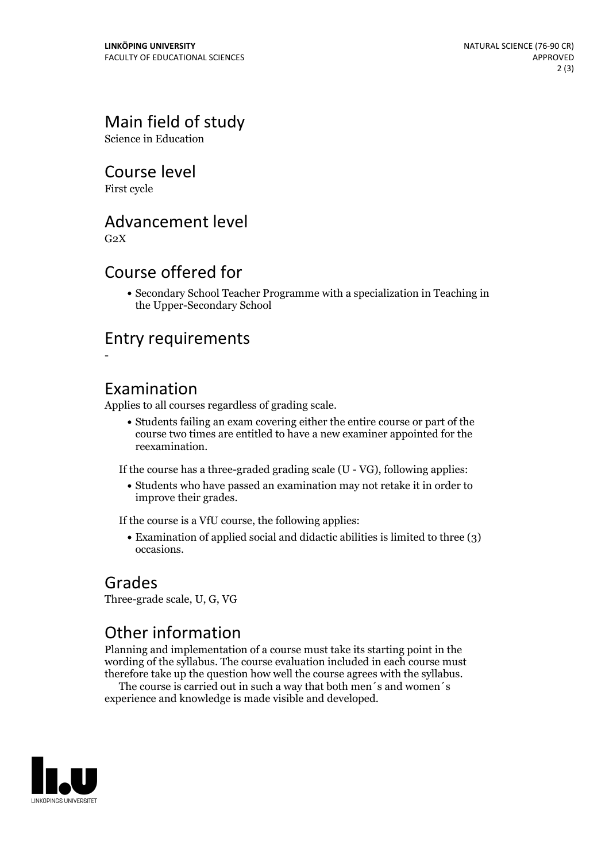## Main field of study

Science in Education

#### Course level

First cycle

#### Advancement level

 $G<sub>2</sub>X$ 

#### Course offered for

Secondary School Teacher Programme with a specialization in Teaching in the Upper-Secondary School

#### Entry requirements

-

#### Examination

Applies to all courses regardless of grading scale.

Students failing an exam covering either the entire course or part of the course two times are entitled to have a new examiner appointed for the reexamination.

If the course has a three-graded grading scale (U - VG), following applies:

Students who have passed an examination may not retake it in order to improve their grades.

If the course is a VfU course, the following applies:

• Examination of applied social and didactic abilities is limited to three (3) occasions.

#### Grades

Three-grade scale, U, G, VG

### Other information

Planning and implementation of a course must take its starting point in the wording of the syllabus. The course evaluation included in each course must therefore take up the question how well the course agrees with the syllabus. The course is carried outin such <sup>a</sup> way that both men´s and women´s

experience and knowledge is made visible and developed.